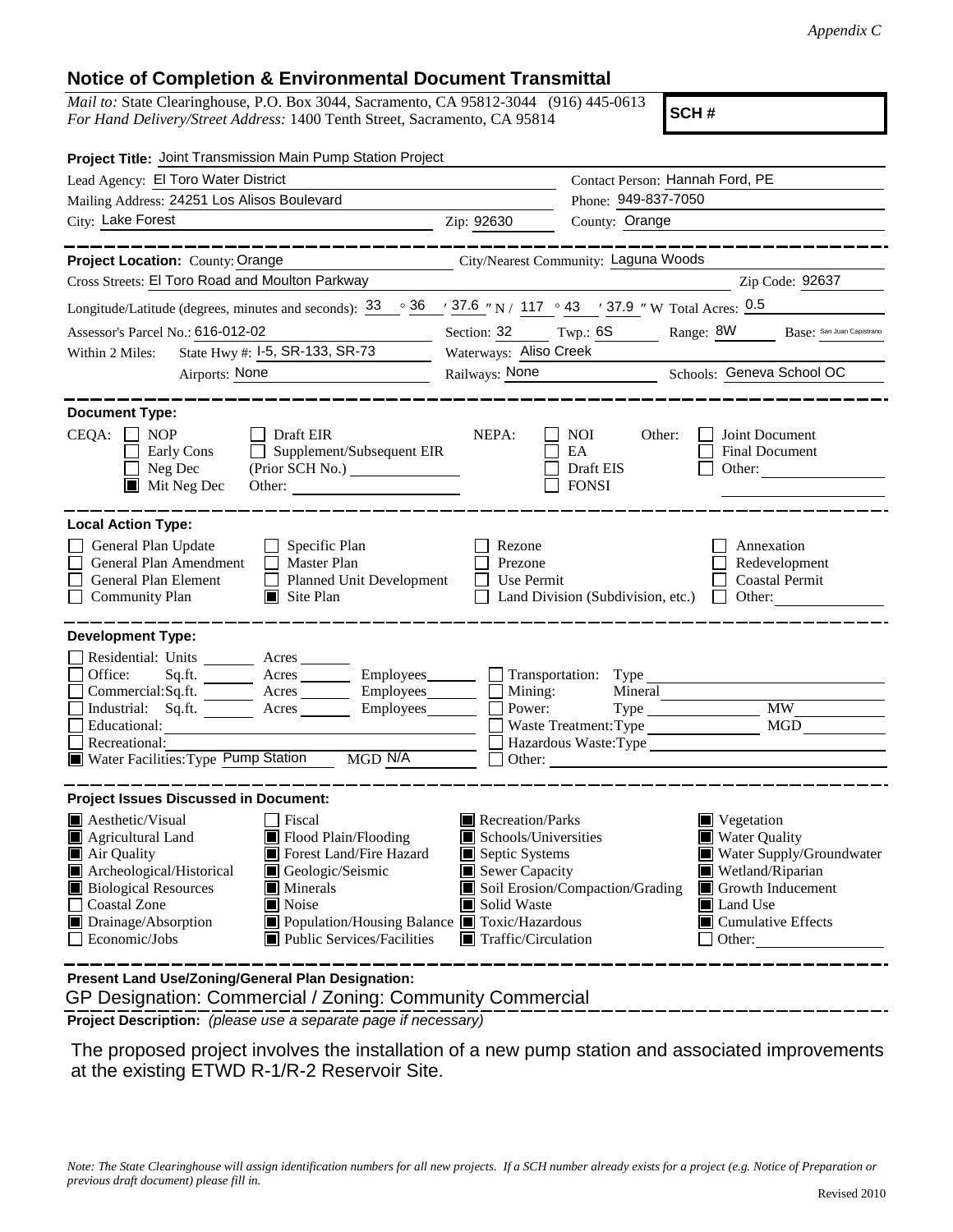## **Notice of Completion & Environmental Document Transmittal**

*Mail to:* State Clearinghouse, P.O. Box 3044, Sacramento, CA 95812-3044 (916) 445-0613 *For Hand Delivery/Street Address:* 1400 Tenth Street, Sacramento, CA 95814

**SCH #**

| Project Title: Joint Transmission Main Pump Station Project                                                                                                                                                                                                                                                                                                                                                                        |                                      |                                                                                                                                                                                                                                                                                                                                            |                        |                                                                |  |
|------------------------------------------------------------------------------------------------------------------------------------------------------------------------------------------------------------------------------------------------------------------------------------------------------------------------------------------------------------------------------------------------------------------------------------|--------------------------------------|--------------------------------------------------------------------------------------------------------------------------------------------------------------------------------------------------------------------------------------------------------------------------------------------------------------------------------------------|------------------------|----------------------------------------------------------------|--|
| Lead Agency: El Toro Water District                                                                                                                                                                                                                                                                                                                                                                                                | Contact Person: Hannah Ford, PE      |                                                                                                                                                                                                                                                                                                                                            |                        |                                                                |  |
| Mailing Address: 24251 Los Alisos Boulevard                                                                                                                                                                                                                                                                                                                                                                                        |                                      | Phone: 949-837-7050                                                                                                                                                                                                                                                                                                                        |                        |                                                                |  |
| City: Lake Forest                                                                                                                                                                                                                                                                                                                                                                                                                  | Zip: 92630                           | County: Orange                                                                                                                                                                                                                                                                                                                             |                        |                                                                |  |
|                                                                                                                                                                                                                                                                                                                                                                                                                                    |                                      |                                                                                                                                                                                                                                                                                                                                            |                        |                                                                |  |
| Project Location: County: Orange                                                                                                                                                                                                                                                                                                                                                                                                   | City/Nearest Community: Laguna Woods |                                                                                                                                                                                                                                                                                                                                            |                        |                                                                |  |
| Cross Streets: El Toro Road and Moulton Parkway                                                                                                                                                                                                                                                                                                                                                                                    |                                      |                                                                                                                                                                                                                                                                                                                                            |                        | Zip Code: 92637                                                |  |
| Longitude/Latitude (degrees, minutes and seconds): $33 \degree$ $36 \degree$ $37.6 \degree$ N / 117 $\degree$ 43 $\degree$ 37.9 " W Total Acres: 0.5                                                                                                                                                                                                                                                                               |                                      |                                                                                                                                                                                                                                                                                                                                            |                        |                                                                |  |
| Assessor's Parcel No.: 616-012-02                                                                                                                                                                                                                                                                                                                                                                                                  | Section: 32 Twp.: 6S                 |                                                                                                                                                                                                                                                                                                                                            | Range: 8W              | Base: San Juan Capistrano                                      |  |
| State Hwy #: I-5, SR-133, SR-73<br>Within 2 Miles:                                                                                                                                                                                                                                                                                                                                                                                 | Waterways: Aliso Creek               |                                                                                                                                                                                                                                                                                                                                            |                        |                                                                |  |
| Airports: None                                                                                                                                                                                                                                                                                                                                                                                                                     |                                      | Railways: None<br>Schools: Geneva School OC                                                                                                                                                                                                                                                                                                |                        |                                                                |  |
| <b>Document Type:</b>                                                                                                                                                                                                                                                                                                                                                                                                              |                                      |                                                                                                                                                                                                                                                                                                                                            |                        |                                                                |  |
| $CEQA: \Box NP$<br>$\Box$ Draft EIR<br>Supplement/Subsequent EIR<br>Early Cons<br>$\Box$ Neg Dec<br>Mit Neg Dec                                                                                                                                                                                                                                                                                                                    | NEPA:                                | <b>NOI</b><br>Other:<br>EA<br>Draft EIS<br><b>FONSI</b>                                                                                                                                                                                                                                                                                    | Other: $\qquad \qquad$ | Joint Document<br>Final Document                               |  |
| <b>Local Action Type:</b><br>General Plan Update<br>$\Box$ Specific Plan<br>General Plan Amendment<br>$\Box$ Master Plan<br>General Plan Element<br>Planned Unit Development<br><b>Community Plan</b><br>$\Box$ Site Plan                                                                                                                                                                                                          | Rezone<br>Prezone<br>Use Permit      | Land Division (Subdivision, etc.)                                                                                                                                                                                                                                                                                                          | $\Box$                 | Annexation<br>Redevelopment<br><b>Coastal Permit</b><br>Other: |  |
| <b>Development Type:</b>                                                                                                                                                                                                                                                                                                                                                                                                           |                                      |                                                                                                                                                                                                                                                                                                                                            |                        |                                                                |  |
| Residential: Units ________ Acres _______<br>Sq.ft. Acres Employees Transportation: Type<br>Office:                                                                                                                                                                                                                                                                                                                                |                                      |                                                                                                                                                                                                                                                                                                                                            |                        |                                                                |  |
| Commercial:Sq.ft. _______ Acres _________ Employees ________ $\Box$<br>Industrial: Sq.ft.                                                                                                                                                                                                                                                                                                                                          |                                      | Mineral<br>Mining:<br><b>MW</b><br>Power:<br>$Type \_\_$                                                                                                                                                                                                                                                                                   |                        |                                                                |  |
| Employees________<br>Waste Treatment: Type<br><b>MGD</b><br>Educational:                                                                                                                                                                                                                                                                                                                                                           |                                      |                                                                                                                                                                                                                                                                                                                                            |                        |                                                                |  |
| Hazardous Waste:Type<br>Recreational:                                                                                                                                                                                                                                                                                                                                                                                              |                                      |                                                                                                                                                                                                                                                                                                                                            |                        |                                                                |  |
| Water Facilities: Type Pump Station<br>MGD N/A                                                                                                                                                                                                                                                                                                                                                                                     |                                      | Other:                                                                                                                                                                                                                                                                                                                                     |                        |                                                                |  |
| <b>Project Issues Discussed in Document:</b>                                                                                                                                                                                                                                                                                                                                                                                       |                                      |                                                                                                                                                                                                                                                                                                                                            |                        |                                                                |  |
| $\blacksquare$ Aesthetic/Visual<br>Fiscal<br>Flood Plain/Flooding<br>$\blacksquare$ Agricultural Land<br>Forest Land/Fire Hazard<br>Air Quality<br>Archeological/Historical<br>Geologic/Seismic<br><b>Biological Resources</b><br>$\blacksquare$ Minerals<br><b>Coastal Zone</b><br>$\blacksquare$ Noise<br>Drainage/Absorption<br>■ Population/Housing Balance ■ Toxic/Hazardous<br>Economic/Jobs<br>■ Public Services/Facilities | Solid Waste                          | Recreation/Parks<br>Vegetation<br><b>Water Quality</b><br>$\blacksquare$ Schools/Universities<br>Septic Systems<br>Water Supply/Groundwater<br>Sewer Capacity<br>Wetland/Riparian<br>Soil Erosion/Compaction/Grading<br>Growth Inducement<br>Land Use<br>$\blacksquare$ Cumulative Effects<br>$\blacksquare$ Traffic/Circulation<br>Other: |                        |                                                                |  |
| Present Land Use/Zoning/General Plan Designation:                                                                                                                                                                                                                                                                                                                                                                                  |                                      |                                                                                                                                                                                                                                                                                                                                            |                        |                                                                |  |

GP Designation: Commercial / Zoning: Community Commercial

**Project Description:** *(please use a separate page if necessary)*

 The proposed project involves the installation of a new pump station and associated improvements at the existing ETWD R-1/R-2 Reservoir Site.